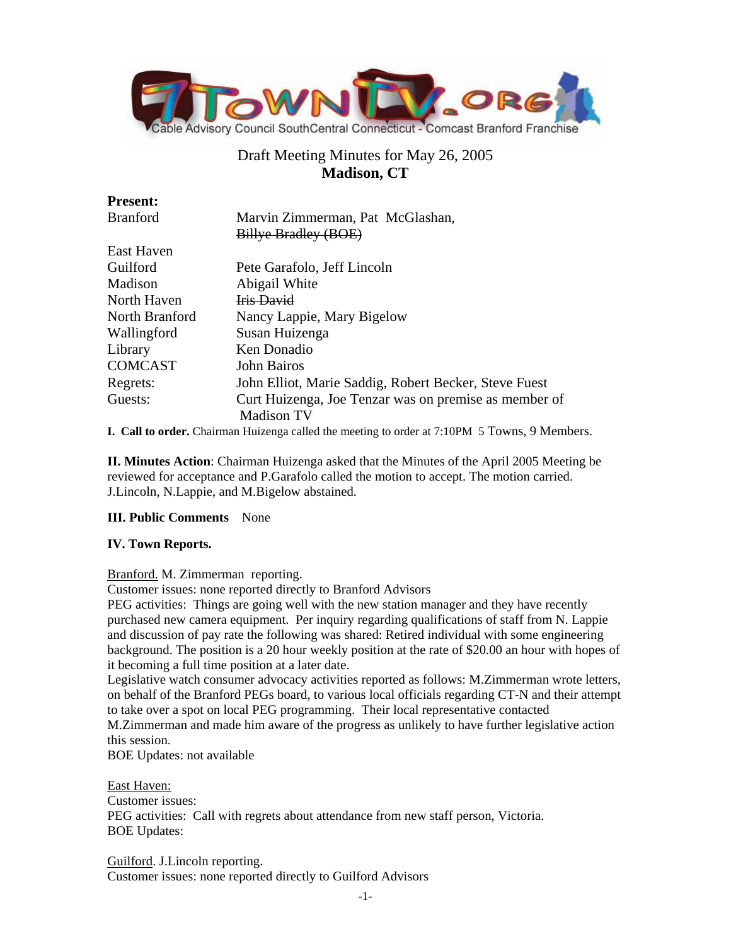

# Draft Meeting Minutes for May 26, 2005 **Madison, CT**

| Marvin Zimmerman, Pat McGlashan,                      |
|-------------------------------------------------------|
| Billye Bradley (BOE)                                  |
|                                                       |
| Pete Garafolo, Jeff Lincoln                           |
| Abigail White                                         |
| <b>Iris David</b>                                     |
| Nancy Lappie, Mary Bigelow                            |
| Susan Huizenga                                        |
| Ken Donadio                                           |
| <b>John Bairos</b>                                    |
| John Elliot, Marie Saddig, Robert Becker, Steve Fuest |
| Curt Huizenga, Joe Tenzar was on premise as member of |
| <b>Madison TV</b>                                     |
|                                                       |

**I. Call to order.** Chairman Huizenga called the meeting to order at 7:10PM 5 Towns, 9 Members.

**II. Minutes Action**: Chairman Huizenga asked that the Minutes of the April 2005 Meeting be reviewed for acceptance and P.Garafolo called the motion to accept. The motion carried. J.Lincoln, N.Lappie, and M.Bigelow abstained.

### **III. Public Comments** None

### **IV. Town Reports.**

Branford. M. Zimmerman reporting.

Customer issues: none reported directly to Branford Advisors

PEG activities: Things are going well with the new station manager and they have recently purchased new camera equipment. Per inquiry regarding qualifications of staff from N. Lappie and discussion of pay rate the following was shared: Retired individual with some engineering background. The position is a 20 hour weekly position at the rate of \$20.00 an hour with hopes of it becoming a full time position at a later date.

Legislative watch consumer advocacy activities reported as follows: M.Zimmerman wrote letters, on behalf of the Branford PEGs board, to various local officials regarding CT-N and their attempt to take over a spot on local PEG programming. Their local representative contacted

M.Zimmerman and made him aware of the progress as unlikely to have further legislative action this session.

BOE Updates: not available

East Haven:

Customer issues: PEG activities: Call with regrets about attendance from new staff person, Victoria. BOE Updates:

Guilford. J.Lincoln reporting. Customer issues: none reported directly to Guilford Advisors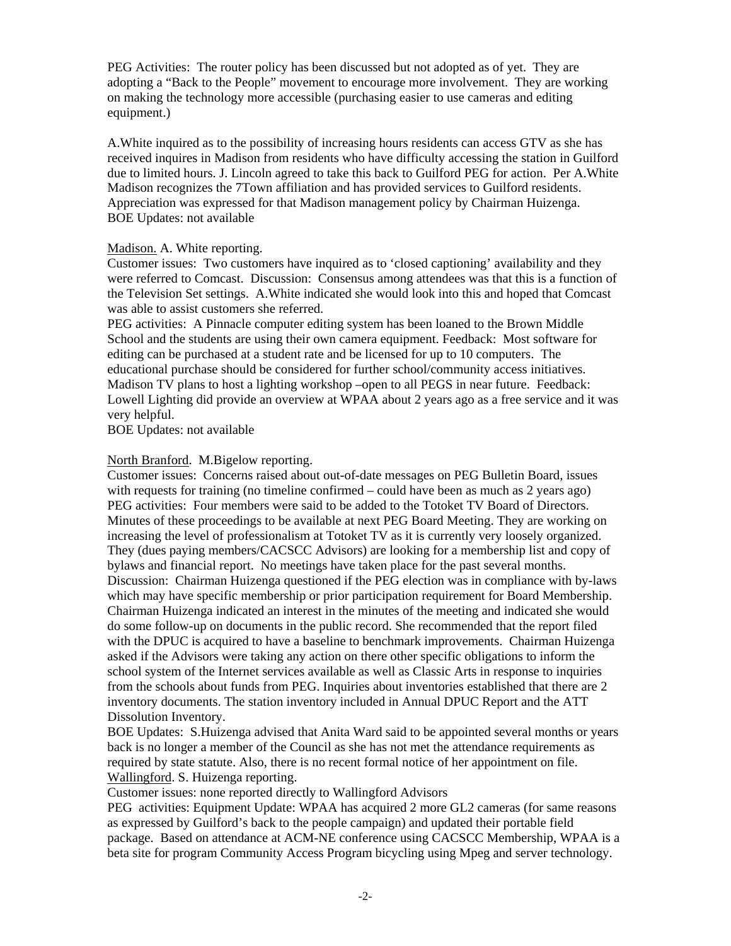PEG Activities: The router policy has been discussed but not adopted as of yet. They are adopting a "Back to the People" movement to encourage more involvement. They are working on making the technology more accessible (purchasing easier to use cameras and editing equipment.)

A.White inquired as to the possibility of increasing hours residents can access GTV as she has received inquires in Madison from residents who have difficulty accessing the station in Guilford due to limited hours. J. Lincoln agreed to take this back to Guilford PEG for action. Per A.White Madison recognizes the 7Town affiliation and has provided services to Guilford residents. Appreciation was expressed for that Madison management policy by Chairman Huizenga. BOE Updates: not available

#### Madison. A. White reporting.

Customer issues: Two customers have inquired as to 'closed captioning' availability and they were referred to Comcast. Discussion: Consensus among attendees was that this is a function of the Television Set settings. A.White indicated she would look into this and hoped that Comcast was able to assist customers she referred.

PEG activities: A Pinnacle computer editing system has been loaned to the Brown Middle School and the students are using their own camera equipment. Feedback: Most software for editing can be purchased at a student rate and be licensed for up to 10 computers. The educational purchase should be considered for further school/community access initiatives. Madison TV plans to host a lighting workshop –open to all PEGS in near future. Feedback: Lowell Lighting did provide an overview at WPAA about 2 years ago as a free service and it was very helpful.

BOE Updates: not available

### North Branford. M.Bigelow reporting.

Customer issues: Concerns raised about out-of-date messages on PEG Bulletin Board, issues with requests for training (no timeline confirmed – could have been as much as 2 years ago) PEG activities: Four members were said to be added to the Totoket TV Board of Directors. Minutes of these proceedings to be available at next PEG Board Meeting. They are working on increasing the level of professionalism at Totoket TV as it is currently very loosely organized. They (dues paying members/CACSCC Advisors) are looking for a membership list and copy of bylaws and financial report. No meetings have taken place for the past several months. Discussion: Chairman Huizenga questioned if the PEG election was in compliance with by-laws which may have specific membership or prior participation requirement for Board Membership. Chairman Huizenga indicated an interest in the minutes of the meeting and indicated she would do some follow-up on documents in the public record. She recommended that the report filed with the DPUC is acquired to have a baseline to benchmark improvements. Chairman Huizenga asked if the Advisors were taking any action on there other specific obligations to inform the school system of the Internet services available as well as Classic Arts in response to inquiries from the schools about funds from PEG. Inquiries about inventories established that there are 2 inventory documents. The station inventory included in Annual DPUC Report and the ATT Dissolution Inventory.

BOE Updates: S.Huizenga advised that Anita Ward said to be appointed several months or years back is no longer a member of the Council as she has not met the attendance requirements as required by state statute. Also, there is no recent formal notice of her appointment on file. Wallingford. S. Huizenga reporting.

Customer issues: none reported directly to Wallingford Advisors

PEG activities: Equipment Update: WPAA has acquired 2 more GL2 cameras (for same reasons as expressed by Guilford's back to the people campaign) and updated their portable field package. Based on attendance at ACM-NE conference using CACSCC Membership, WPAA is a beta site for program Community Access Program bicycling using Mpeg and server technology.